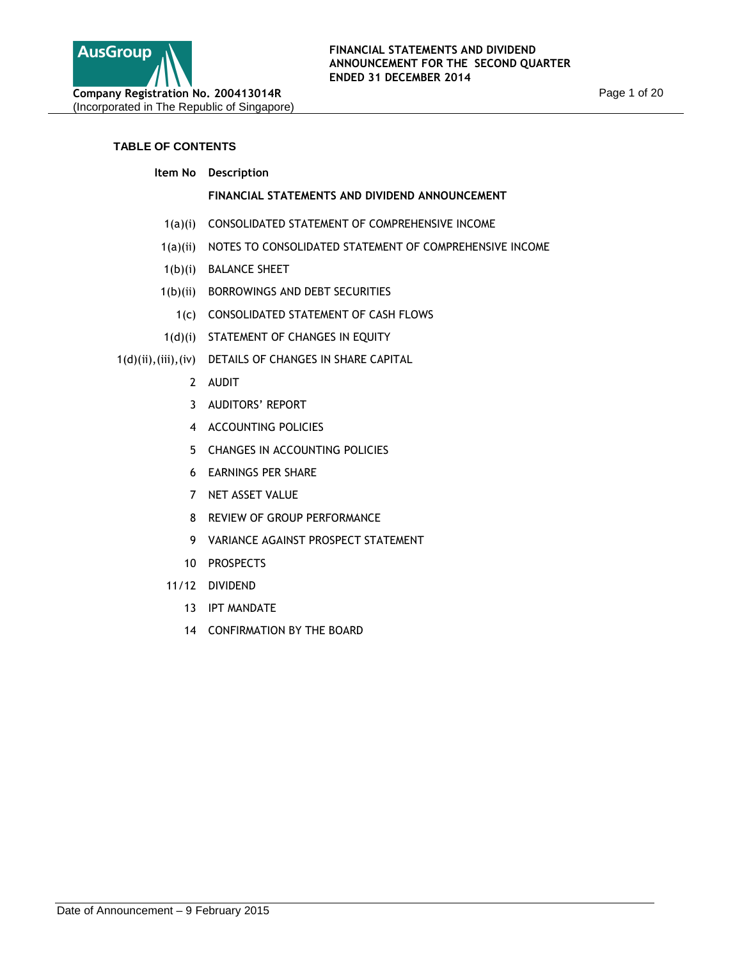

# **TABLE OF CONTENTS**

**Item No Description**

# **FINANCIAL STATEMENTS AND DIVIDEND ANNOUNCEMENT**

- 1(a)(i) CONSOLIDATED STATEMENT OF COMPREHENSIVE INCOME
- 1(a)(ii) NOTES TO CONSOLIDATED STATEMENT OF COMPREHENSIVE INCOME
- 1(b)(i) BALANCE SHEET
- 1(b)(ii) BORROWINGS AND DEBT SECURITIES
	- 1(c) CONSOLIDATED STATEMENT OF CASH FLOWS
- 1(d)(i) STATEMENT OF CHANGES IN EQUITY
- 1(d)(ii),(iii),(iv) DETAILS OF CHANGES IN SHARE CAPITAL
	- 2 AUDIT
	- 3 AUDITORS' REPORT
	- 4 ACCOUNTING POLICIES
	- 5 CHANGES IN ACCOUNTING POLICIES
	- 6 EARNINGS PER SHARE
	- 7 NET ASSET VALUE
	- 8 REVIEW OF GROUP PERFORMANCE
	- 9 VARIANCE AGAINST PROSPECT STATEMENT
	- 10 PROSPECTS
	- 11/12 DIVIDEND
		- 13 IPT MANDATE
		- 14 CONFIRMATION BY THE BOARD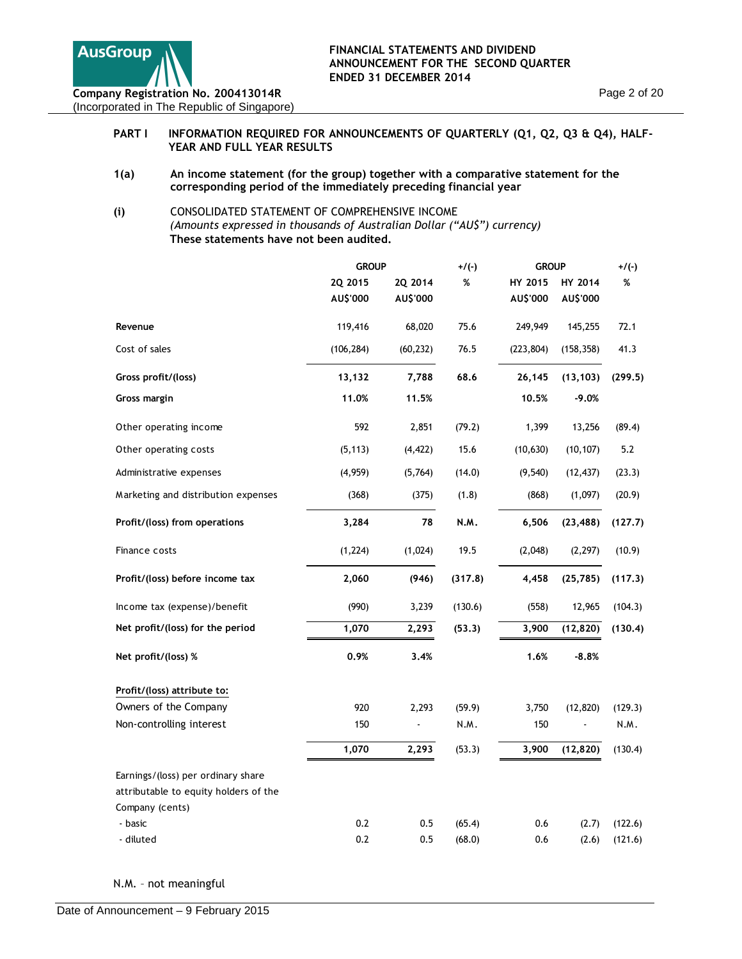

## PART I INFORMATION REQUIRED FOR ANNOUNCEMENTS OF QUARTERLY (Q1, Q2, Q3 & Q4), HALF-**YEAR AND FULL YEAR RESULTS**

**1(a) An income statement (for the group) together with a comparative statement for the corresponding period of the immediately preceding financial year**

### **(i)** CONSOLIDATED STATEMENT OF COMPREHENSIVE INCOME *(Amounts expressed in thousands of Australian Dollar ("AU\$") currency)*  **These statements have not been audited.**

|                                       | <b>GROUP</b> |           | $+/(-)$ | <b>GROUP</b> |            | $+/(-)$ |
|---------------------------------------|--------------|-----------|---------|--------------|------------|---------|
|                                       | 2Q 2015      | 2Q 2014   | %       | HY 2015      | HY 2014    | %       |
|                                       | AU\$'000     | AU\$'000  |         | AU\$'000     | AU\$'000   |         |
| Revenue                               | 119,416      | 68,020    | 75.6    | 249,949      | 145,255    | 72.1    |
| Cost of sales                         | (106, 284)   | (60, 232) | 76.5    | (223, 804)   | (158, 358) | 41.3    |
| Gross profit/(loss)                   | 13,132       | 7,788     | 68.6    | 26,145       | (13, 103)  | (299.5) |
| Gross margin                          | 11.0%        | 11.5%     |         | 10.5%        | $-9.0%$    |         |
| Other operating income                | 592          | 2,851     | (79.2)  | 1,399        | 13,256     | (89.4)  |
| Other operating costs                 | (5, 113)     | (4, 422)  | 15.6    | (10, 630)    | (10, 107)  | 5.2     |
| Administrative expenses               | (4,959)      | (5,764)   | (14.0)  | (9,540)      | (12, 437)  | (23.3)  |
| Marketing and distribution expenses   | (368)        | (375)     | (1.8)   | (868)        | (1,097)    | (20.9)  |
| Profit/(loss) from operations         | 3,284        | 78        | N.M.    | 6,506        | (23, 488)  | (127.7) |
| Finance costs                         | (1, 224)     | (1,024)   | 19.5    | (2,048)      | (2, 297)   | (10.9)  |
| Profit/(loss) before income tax       | 2,060        | (946)     | (317.8) | 4,458        | (25, 785)  | (117.3) |
| Income tax (expense)/benefit          | (990)        | 3,239     | (130.6) | (558)        | 12,965     | (104.3) |
| Net profit/(loss) for the period      | 1,070        | 2,293     | (53.3)  | 3,900        | (12, 820)  | (130.4) |
| Net profit/(loss) %                   | 0.9%         | 3.4%      |         | 1.6%         | $-8.8%$    |         |
| Profit/(loss) attribute to:           |              |           |         |              |            |         |
| Owners of the Company                 | 920          | 2,293     | (59.9)  | 3,750        | (12, 820)  | (129.3) |
| Non-controlling interest              | 150          |           | N.M.    | 150          |            | N.M.    |
|                                       | 1,070        | 2,293     | (53.3)  | 3,900        | (12, 820)  | (130.4) |
| Earnings/(loss) per ordinary share    |              |           |         |              |            |         |
| attributable to equity holders of the |              |           |         |              |            |         |
| Company (cents)                       |              |           |         |              |            |         |
| - basic                               | 0.2          | 0.5       | (65.4)  | 0.6          | (2.7)      | (122.6) |
| - diluted                             | 0.2          | 0.5       | (68.0)  | 0.6          | (2.6)      | (121.6) |

N.M. – not meaningful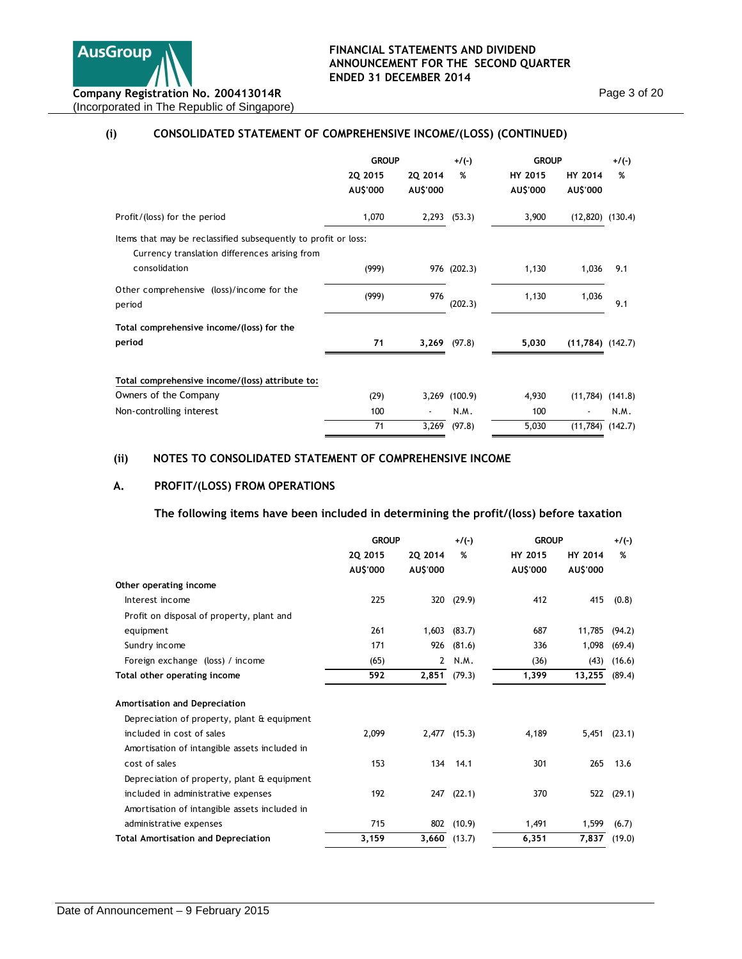

# **(i) CONSOLIDATED STATEMENT OF COMPREHENSIVE INCOME/(LOSS) (CONTINUED)**

|                                                                                                                 | <b>GROUP</b>        |                     | $+/(-)$       | <b>GROUP</b>        |                            | $+/(-)$ |  |
|-----------------------------------------------------------------------------------------------------------------|---------------------|---------------------|---------------|---------------------|----------------------------|---------|--|
|                                                                                                                 | 20 2015<br>AU\$'000 | 20 2014<br>AU\$'000 | %             | HY 2015<br>AU\$'000 | <b>HY 2014</b><br>AU\$'000 | %       |  |
| Profit/(loss) for the period                                                                                    | 1,070               |                     | 2,293 (53.3)  | 3,900               | $(12,820)$ $(130.4)$       |         |  |
| Items that may be reclassified subsequently to profit or loss:<br>Currency translation differences arising from |                     |                     |               |                     |                            |         |  |
| consolidation                                                                                                   | (999)               |                     | 976 (202.3)   | 1,130               | 1,036                      | 9.1     |  |
| Other comprehensive (loss)/income for the<br>period                                                             | (999)               | 976                 | (202.3)       | 1,130               | 1,036                      | 9.1     |  |
| Total comprehensive income/(loss) for the<br>period                                                             | 71                  |                     | 3,269 (97.8)  | 5,030               | $(11,784)$ $(142.7)$       |         |  |
| Total comprehensive income/(loss) attribute to:                                                                 |                     |                     |               |                     |                            |         |  |
| Owners of the Company                                                                                           | (29)                |                     | 3,269 (100.9) | 4,930               | $(11,784)$ $(141.8)$       |         |  |
| Non-controlling interest                                                                                        | 100                 |                     | N.M.          | 100                 |                            | N.M.    |  |
|                                                                                                                 | 71                  | 3,269               | (97.8)        | 5,030               | $(11,784)$ $(142.7)$       |         |  |

# **(ii) NOTES TO CONSOLIDATED STATEMENT OF COMPREHENSIVE INCOME**

# **A. PROFIT/(LOSS) FROM OPERATIONS**

**The following items have been included in determining the profit/(loss) before taxation** 

|                                               | <b>GROUP</b>        |                     | $+/(-)$        | <b>GROUP</b>        |                     | $+/(-)$    |  |
|-----------------------------------------------|---------------------|---------------------|----------------|---------------------|---------------------|------------|--|
|                                               | 2Q 2015<br>AU\$'000 | 20 2014<br>AU\$'000 | %              | HY 2015<br>AU\$'000 | HY 2014<br>AU\$'000 | %          |  |
| Other operating income                        |                     |                     |                |                     |                     |            |  |
| Interest income                               | 225                 | 320                 | (29.9)         | 412                 | 415                 | (0.8)      |  |
| Profit on disposal of property, plant and     |                     |                     |                |                     |                     |            |  |
| equipment                                     | 261                 | 1,603               | (83.7)         | 687                 | 11.785              | (94.2)     |  |
| Sundry income                                 | 171                 | 926                 | (81.6)         | 336                 | 1,098               | (69.4)     |  |
| Foreign exchange (loss) / income              | (65)                | $\mathbf{2}$        | N.M.           | (36)                | (43)                | (16.6)     |  |
| Total other operating income                  | 592                 | 2,851               | (79.3)         | 1,399               | 13,255              | (89.4)     |  |
| Amortisation and Depreciation                 |                     |                     |                |                     |                     |            |  |
| Depreciation of property, plant & equipment   |                     |                     |                |                     |                     |            |  |
| included in cost of sales                     | 2.099               |                     | $2.477$ (15.3) | 4.189               | 5,451               | (23.1)     |  |
| Amortisation of intangible assets included in |                     |                     |                |                     |                     |            |  |
| cost of sales                                 | 153                 | 134                 | 14.1           | 301                 | 265                 | 13.6       |  |
| Depreciation of property, plant & equipment   |                     |                     |                |                     |                     |            |  |
| included in administrative expenses           | 192                 |                     | $247$ $(22.1)$ | 370                 |                     | 522 (29.1) |  |
| Amortisation of intangible assets included in |                     |                     |                |                     |                     |            |  |
| administrative expenses                       | 715                 | 802                 | (10.9)         | 1,491               | 1,599               | (6.7)      |  |
| <b>Total Amortisation and Depreciation</b>    | 3,159               |                     | $3,660$ (13.7) | 6,351               | 7,837               | (19.0)     |  |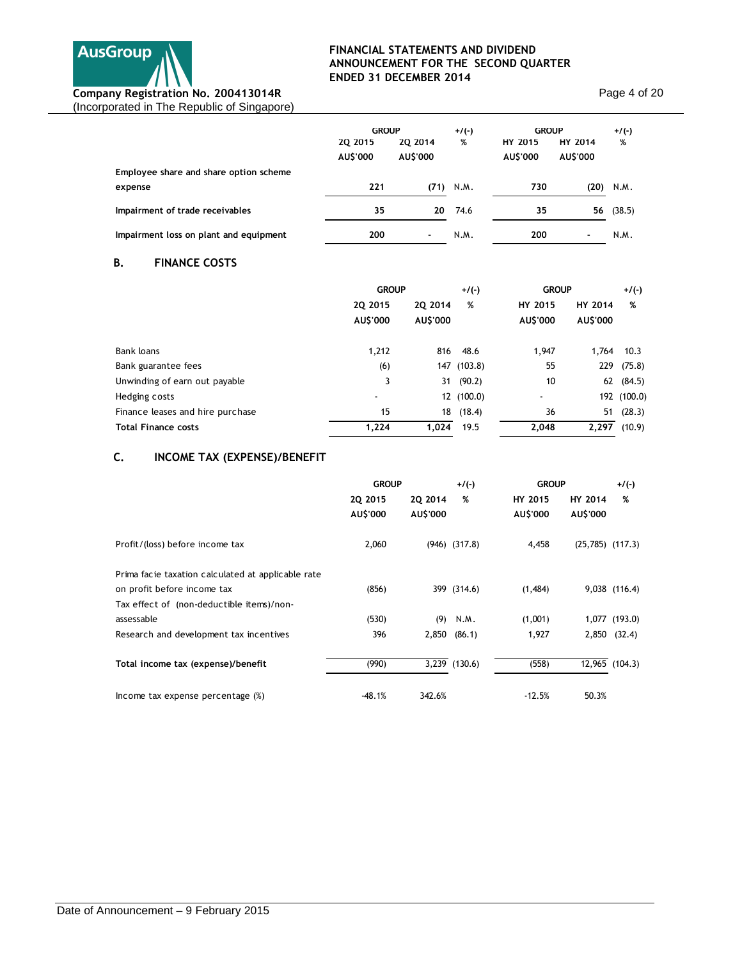

Page 4 of 20

|                                        | <b>GROUP</b>               |                            | $+/(-)$ | <b>GROUP</b>               |                            | $+/(-)$ |
|----------------------------------------|----------------------------|----------------------------|---------|----------------------------|----------------------------|---------|
|                                        | <b>2Q 2015</b><br>AU\$'000 | <b>20 2014</b><br>AU\$'000 | %       | <b>HY 2015</b><br>AU\$'000 | <b>HY 2014</b><br>AU\$'000 | %       |
| Employee share and share option scheme |                            |                            |         |                            |                            |         |
| expense                                | 221                        | (71)                       | N.M.    | 730                        | (20)                       | N.M.    |
| Impairment of trade receivables        | 35                         | 20                         | 74.6    | 35                         | 56                         | (38.5)  |
| Impairment loss on plant and equipment | 200                        | ٠                          | N.M.    | 200                        | ۰                          | N.M.    |

# **B. FINANCE COSTS**

|                                  | <b>GROUP</b>             |          | $+/(-)$     | <b>GROUP</b> |          | $+/(-)$     |  |
|----------------------------------|--------------------------|----------|-------------|--------------|----------|-------------|--|
|                                  | 20 2015                  | 20 2014  | %           | HY 2015      | HY 2014  | %           |  |
|                                  | AU\$'000                 | AU\$'000 |             | AU\$'000     | AU\$'000 |             |  |
| Bank loans                       | 1,212                    | 816      | 48.6        | 1,947        | 1.764    | 10.3        |  |
| Bank guarantee fees              | (6)                      |          | 147 (103.8) | 55           | 229      | (75.8)      |  |
| Unwinding of earn out payable    | 3                        | 31       | (90.2)      | 10           | 62       | (84.5)      |  |
| Hedging costs                    | $\overline{\phantom{a}}$ |          | 12 (100.0)  | ٠            |          | 192 (100.0) |  |
| Finance leases and hire purchase | 15                       | 18       | (18.4)      | 36           | 51       | (28.3)      |  |
| <b>Total Finance costs</b>       | 1,224                    | 1.024    | 19.5        | 2.048        | 2.297    | (10.9)      |  |

# **C. INCOME TAX (EXPENSE)/BENEFIT**

|                                                                                                                                | <b>GROUP</b>        |                     | $+$ /(-)          |                     | <b>GROUP</b>         |                |
|--------------------------------------------------------------------------------------------------------------------------------|---------------------|---------------------|-------------------|---------------------|----------------------|----------------|
|                                                                                                                                | 20 2015<br>AU\$'000 | 20 2014<br>AU\$'000 | %                 | HY 2015<br>AU\$'000 | HY 2014<br>AU\$'000  | %              |
| Profit/(loss) before income tax                                                                                                | 2,060               |                     | $(946)$ $(317.8)$ | 4,458               | $(25,785)$ $(117.3)$ |                |
| Prima facie taxation calculated at applicable rate<br>on profit before income tax<br>Tax effect of (non-deductible items)/non- | (856)               |                     | 399 (314.6)       | (1,484)             |                      | 9,038 (116.4)  |
| assessable                                                                                                                     | (530)               | (9)                 | N.M.              | (1,001)             |                      | 1,077 (193.0)  |
| Research and development tax incentives                                                                                        | 396                 | 2,850               | (86.1)            | 1,927               | 2,850                | (32.4)         |
| Total income tax (expense)/benefit                                                                                             | (990)               |                     | 3,239 (130.6)     | (558)               |                      | 12,965 (104.3) |
| Income tax expense percentage (%)                                                                                              | $-48.1%$            | 342.6%              |                   | $-12.5%$            | 50.3%                |                |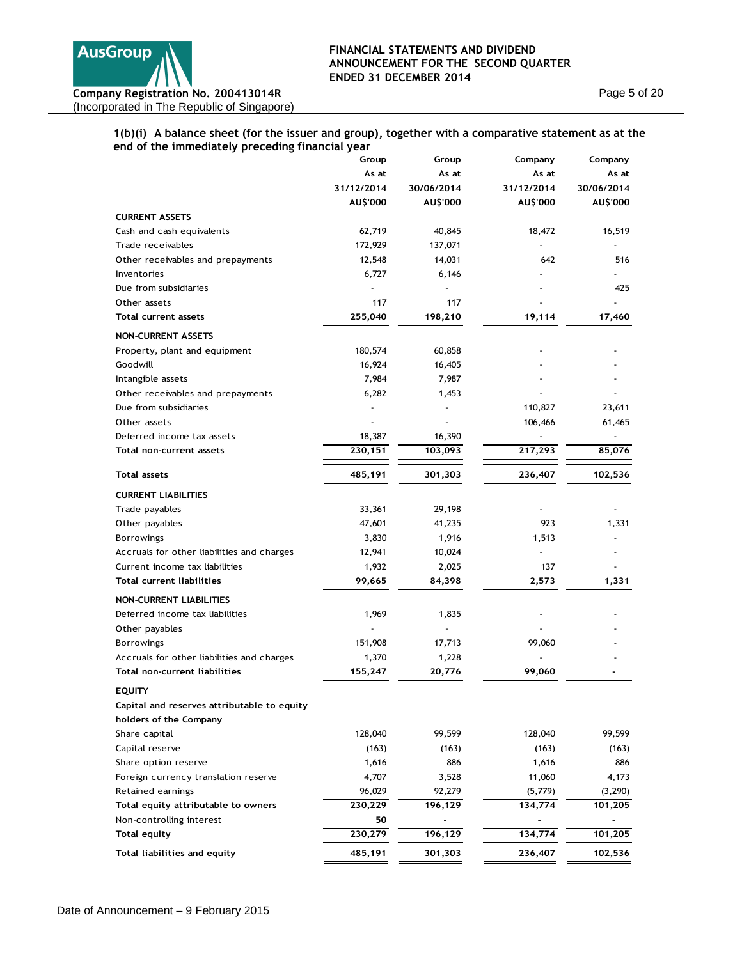

Page 5 of 20

### **1(b)(i) A balance sheet (for the issuer and group), together with a comparative statement as at the end of the immediately preceding financial year**

| cha or the miniculately preceding midneial y | Group      | Group      | Company    | Company    |
|----------------------------------------------|------------|------------|------------|------------|
|                                              | As at      | As at      | As at      | As at      |
|                                              | 31/12/2014 | 30/06/2014 | 31/12/2014 | 30/06/2014 |
|                                              | AU\$'000   | AU\$'000   | AU\$'000   | AU\$'000   |
| <b>CURRENT ASSETS</b>                        |            |            |            |            |
| Cash and cash equivalents                    | 62,719     | 40,845     | 18,472     | 16,519     |
| Trade receivables                            | 172,929    | 137,071    |            |            |
| Other receivables and prepayments            | 12,548     | 14,031     | 642        | 516        |
| Inventories                                  | 6,727      | 6,146      |            |            |
| Due from subsidiaries                        |            |            |            | 425        |
| Other assets                                 | 117        | 117        |            |            |
| <b>Total current assets</b>                  | 255,040    | 198,210    | 19,114     | 17,460     |
| <b>NON-CURRENT ASSETS</b>                    |            |            |            |            |
| Property, plant and equipment                | 180,574    | 60,858     |            |            |
| Goodwill                                     | 16,924     | 16,405     |            |            |
| Intangible assets                            | 7,984      | 7,987      |            |            |
| Other receivables and prepayments            | 6,282      | 1,453      |            |            |
| Due from subsidiaries                        |            |            | 110,827    | 23,611     |
| Other assets                                 |            |            | 106,466    | 61,465     |
| Deferred income tax assets                   | 18,387     | 16,390     |            |            |
| Total non-current assets                     | 230,151    | 103,093    | 217,293    | 85,076     |
| <b>Total assets</b>                          | 485,191    | 301,303    | 236,407    | 102,536    |
| <b>CURRENT LIABILITIES</b>                   |            |            |            |            |
| Trade payables                               | 33,361     | 29,198     |            |            |
| Other payables                               | 47,601     | 41,235     | 923        | 1,331      |
| <b>Borrowings</b>                            | 3,830      | 1,916      | 1,513      |            |
| Accruals for other liabilities and charges   | 12,941     | 10,024     |            |            |
| Current income tax liabilities               | 1,932      | 2,025      | 137        |            |
| <b>Total current liabilities</b>             | 99,665     | 84,398     | 2,573      | 1,331      |
| <b>NON-CURRENT LIABILITIES</b>               |            |            |            |            |
| Deferred income tax liabilities              | 1,969      | 1,835      |            |            |
| Other payables                               |            |            |            |            |
| <b>Borrowings</b>                            | 151,908    | 17,713     | 99,060     |            |
| Accruals for other liabilities and charges   | 1,370      | 1,228      |            |            |
| <b>Total non-current liabilities</b>         | 155,247    | 20,776     | 99,060     |            |
| <b>EQUITY</b>                                |            |            |            |            |
| Capital and reserves attributable to equity  |            |            |            |            |
| holders of the Company                       |            |            |            |            |
| Share capital                                | 128,040    | 99,599     | 128,040    | 99,599     |
| Capital reserve                              | (163)      | (163)      | (163)      | (163)      |
| Share option reserve                         | 1,616      | 886        | 1,616      | 886        |
| Foreign currency translation reserve         | 4,707      | 3,528      | 11,060     | 4,173      |
| Retained earnings                            | 96,029     | 92,279     | (5,779)    | (3, 290)   |
| Total equity attributable to owners          | 230,229    | 196,129    | 134,774    | 101,205    |
| Non-controlling interest                     | 50         |            |            |            |
| <b>Total equity</b>                          | 230,279    | 196,129    | 134,774    | 101,205    |
| Total liabilities and equity                 | 485,191    | 301,303    | 236,407    | 102,536    |
|                                              |            |            |            |            |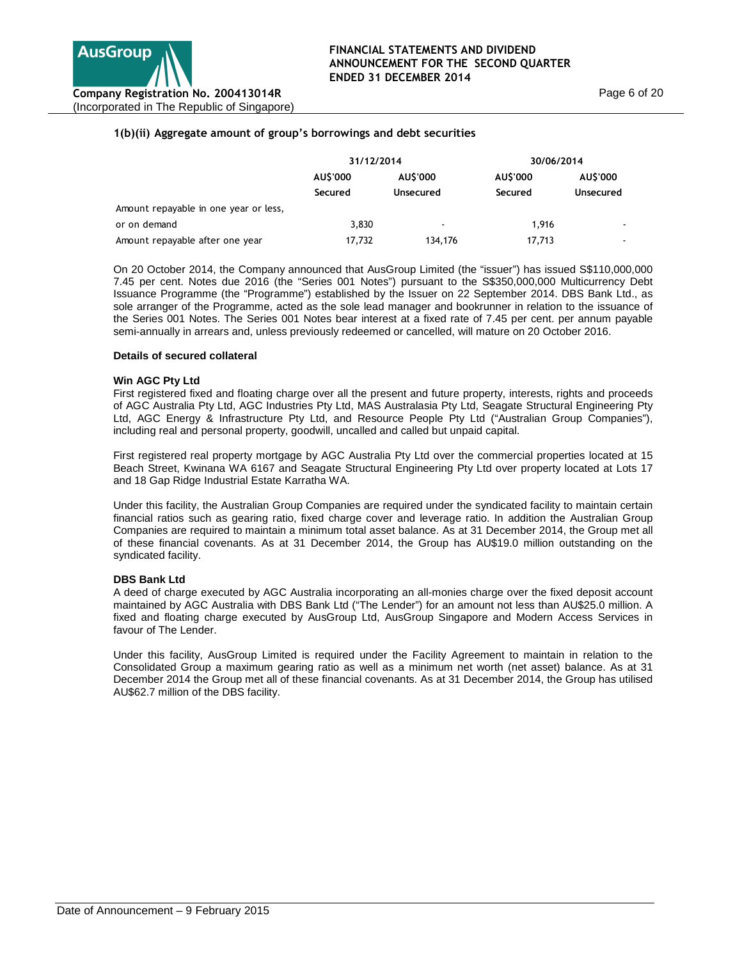### **1(b)(ii) Aggregate amount of group's borrowings and debt securities**

|                                       | 31/12/2014 |                  | 30/06/2014 |                |  |
|---------------------------------------|------------|------------------|------------|----------------|--|
|                                       | AU\$'000   | AUS'000          | AUS'000    | AUS'000        |  |
|                                       | Secured    | <b>Unsecured</b> | Secured    | Unsecured      |  |
| Amount repayable in one year or less, |            |                  |            |                |  |
| or on demand                          | 3,830      | ٠                | 1.916      |                |  |
| Amount repayable after one year       | 17.732     | 134,176          | 17.713     | $\blacksquare$ |  |

On 20 October 2014, the Company announced that AusGroup Limited (the "issuer") has issued S\$110,000,000 7.45 per cent. Notes due 2016 (the "Series 001 Notes") pursuant to the S\$350,000,000 Multicurrency Debt Issuance Programme (the "Programme") established by the Issuer on 22 September 2014. DBS Bank Ltd., as sole arranger of the Programme, acted as the sole lead manager and bookrunner in relation to the issuance of the Series 001 Notes. The Series 001 Notes bear interest at a fixed rate of 7.45 per cent. per annum payable semi-annually in arrears and, unless previously redeemed or cancelled, will mature on 20 October 2016.

#### **Details of secured collateral**

#### **Win AGC Pty Ltd**

First registered fixed and floating charge over all the present and future property, interests, rights and proceeds of AGC Australia Pty Ltd, AGC Industries Pty Ltd, MAS Australasia Pty Ltd, Seagate Structural Engineering Pty Ltd, AGC Energy & Infrastructure Pty Ltd, and Resource People Pty Ltd ("Australian Group Companies"), including real and personal property, goodwill, uncalled and called but unpaid capital.

First registered real property mortgage by AGC Australia Pty Ltd over the commercial properties located at 15 Beach Street, Kwinana WA 6167 and Seagate Structural Engineering Pty Ltd over property located at Lots 17 and 18 Gap Ridge Industrial Estate Karratha WA.

Under this facility, the Australian Group Companies are required under the syndicated facility to maintain certain financial ratios such as gearing ratio, fixed charge cover and leverage ratio. In addition the Australian Group Companies are required to maintain a minimum total asset balance. As at 31 December 2014, the Group met all of these financial covenants. As at 31 December 2014, the Group has AU\$19.0 million outstanding on the syndicated facility.

#### **DBS Bank Ltd**

A deed of charge executed by AGC Australia incorporating an all-monies charge over the fixed deposit account maintained by AGC Australia with DBS Bank Ltd ("The Lender") for an amount not less than AU\$25.0 million. A fixed and floating charge executed by AusGroup Ltd, AusGroup Singapore and Modern Access Services in favour of The Lender.

Under this facility, AusGroup Limited is required under the Facility Agreement to maintain in relation to the Consolidated Group a maximum gearing ratio as well as a minimum net worth (net asset) balance. As at 31 December 2014 the Group met all of these financial covenants. As at 31 December 2014, the Group has utilised AU\$62.7 million of the DBS facility.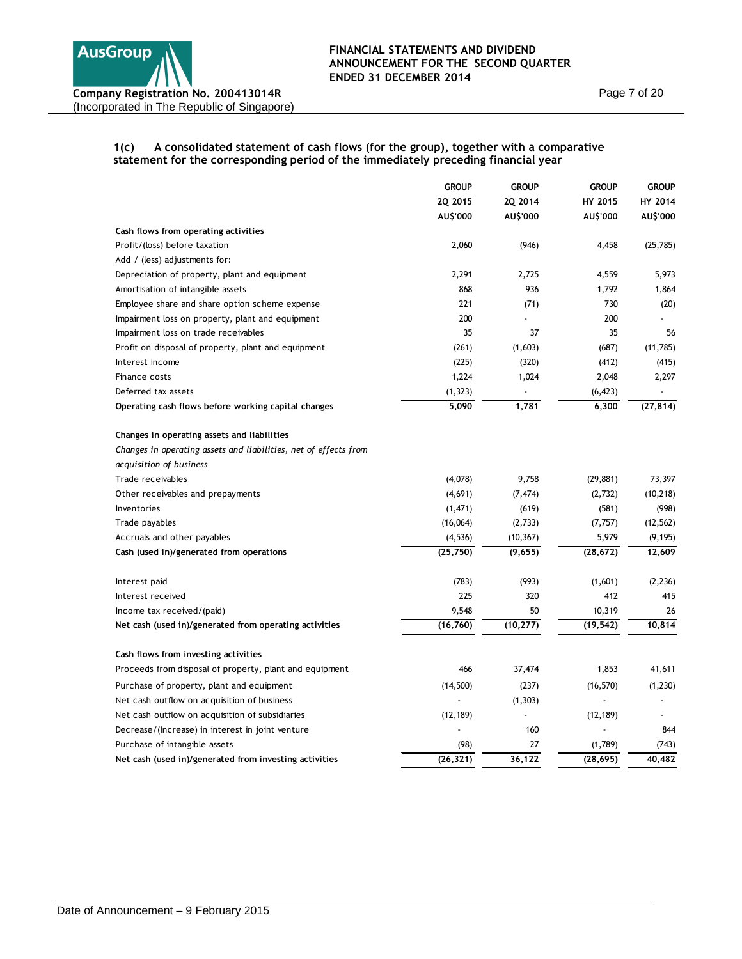

Page 7 of 20

# **1(c) A consolidated statement of cash flows (for the group), together with a comparative statement for the corresponding period of the immediately preceding financial year**

|                                                                  | <b>GROUP</b> | <b>GROUP</b>   | <b>GROUP</b> | <b>GROUP</b> |
|------------------------------------------------------------------|--------------|----------------|--------------|--------------|
|                                                                  | 20 2015      | 20 2014        | HY 2015      | HY 2014      |
|                                                                  | AU\$'000     | AU\$'000       | AU\$'000     | AU\$'000     |
| Cash flows from operating activities                             |              |                |              |              |
| Profit/(loss) before taxation                                    | 2,060        | (946)          | 4,458        | (25, 785)    |
| Add / (less) adjustments for:                                    |              |                |              |              |
| Depreciation of property, plant and equipment                    | 2,291        | 2,725          | 4,559        | 5,973        |
| Amortisation of intangible assets                                | 868          | 936            | 1,792        | 1,864        |
| Employee share and share option scheme expense                   | 221          | (71)           | 730          | (20)         |
| Impairment loss on property, plant and equipment                 | 200          |                | 200          |              |
| Impairment loss on trade receivables                             | 35           | 37             | 35           | 56           |
| Profit on disposal of property, plant and equipment              | (261)        | (1,603)        | (687)        | (11,785)     |
| Interest income                                                  | (225)        | (320)          | (412)        | (415)        |
| Finance costs                                                    | 1,224        | 1,024          | 2,048        | 2,297        |
| Deferred tax assets                                              | (1, 323)     |                | (6, 423)     |              |
| Operating cash flows before working capital changes              | 5,090        | 1,781          | 6,300        | (27, 814)    |
| Changes in operating assets and liabilities                      |              |                |              |              |
| Changes in operating assets and liabilities, net of effects from |              |                |              |              |
| acquisition of business                                          |              |                |              |              |
| Trade receivables                                                | (4,078)      | 9,758          | (29, 881)    | 73,397       |
| Other receivables and prepayments                                | (4,691)      | (7, 474)       | (2,732)      | (10, 218)    |
| Inventories                                                      | (1,471)      | (619)          | (581)        | (998)        |
| Trade payables                                                   | (16,064)     | (2,733)        | (7, 757)     | (12, 562)    |
| Accruals and other payables                                      | (4, 536)     | (10, 367)      | 5,979        | (9, 195)     |
| Cash (used in)/generated from operations                         | (25, 750)    | (9,655)        | (28, 672)    | 12,609       |
| Interest paid                                                    | (783)        | (993)          | (1,601)      | (2, 236)     |
| Interest received                                                | 225          | 320            | 412          | 415          |
| Income tax received/(paid)                                       | 9,548        | 50             | 10,319       | 26           |
| Net cash (used in)/generated from operating activities           | (16, 760)    | (10, 277)      | (19, 542)    | 10,814       |
| Cash flows from investing activities                             |              |                |              |              |
| Proceeds from disposal of property, plant and equipment          | 466          | 37,474         | 1,853        | 41,611       |
| Purchase of property, plant and equipment                        | (14,500)     | (237)          | (16, 570)    | (1, 230)     |
| Net cash outflow on acquisition of business                      |              | (1, 303)       |              |              |
| Net cash outflow on acquisition of subsidiaries                  | (12, 189)    | $\overline{a}$ | (12, 189)    |              |
| Decrease/(Increase) in interest in joint venture                 |              | 160            | ÷,           | 844          |
| Purchase of intangible assets                                    | (98)         | 27             | (1,789)      | (743)        |
| Net cash (used in)/generated from investing activities           | (26, 321)    | 36,122         | (28, 695)    | 40,482       |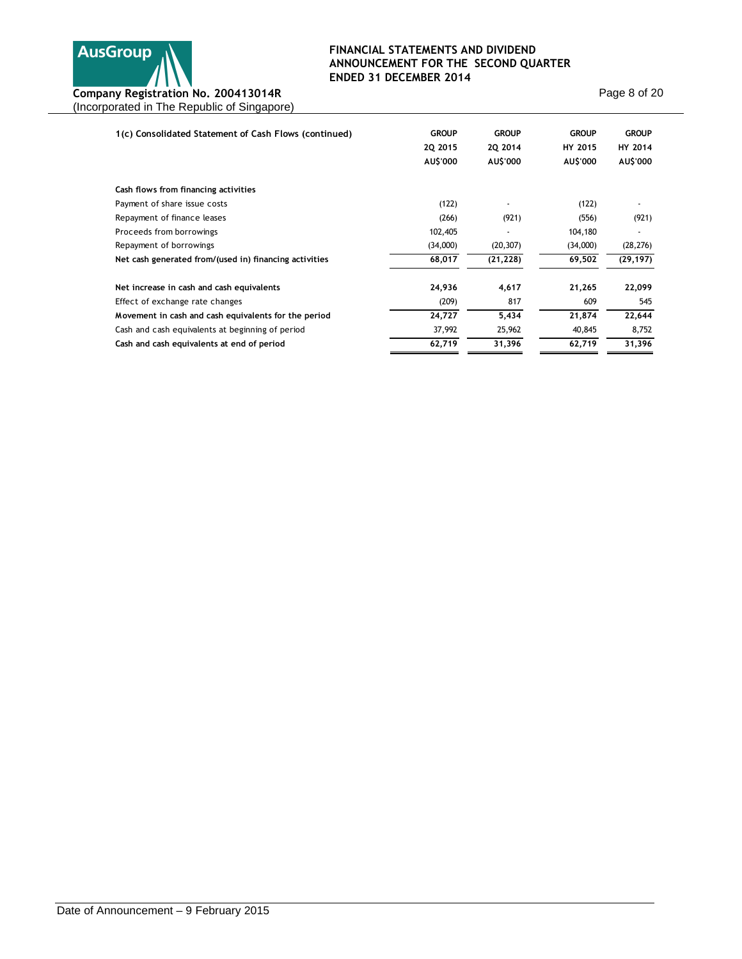

Page 8 of 20

| 1(c) Consolidated Statement of Cash Flows (continued)  | <b>GROUP</b><br>2Q 2015<br>AU\$'000 | <b>GROUP</b><br>20 2014<br>AU\$'000 | <b>GROUP</b><br>HY 2015<br>AU\$'000 | <b>GROUP</b><br>HY 2014<br>AU\$'000 |
|--------------------------------------------------------|-------------------------------------|-------------------------------------|-------------------------------------|-------------------------------------|
| Cash flows from financing activities                   |                                     |                                     |                                     |                                     |
| Payment of share issue costs                           | (122)                               |                                     | (122)                               |                                     |
| Repayment of finance leases                            | (266)                               | (921)                               | (556)                               | (921)                               |
| Proceeds from borrowings                               | 102,405                             | $\overline{\phantom{a}}$            | 104,180                             |                                     |
| Repayment of borrowings                                | (34,000)                            | (20, 307)                           | (34,000)                            | (28, 276)                           |
| Net cash generated from/(used in) financing activities | 68,017                              | (21, 228)                           | 69,502                              | (29, 197)                           |
| Net increase in cash and cash equivalents              | 24,936                              | 4,617                               | 21,265                              | 22,099                              |
| Effect of exchange rate changes                        | (209)                               | 817                                 | 609                                 | 545                                 |
| Movement in cash and cash equivalents for the period   | 24,727                              | 5,434                               | 21,874                              | 22,644                              |
| Cash and cash equivalents at beginning of period       | 37,992                              | 25,962                              | 40,845                              | 8,752                               |
| Cash and cash equivalents at end of period             | 62,719                              | 31,396                              | 62,719                              | 31,396                              |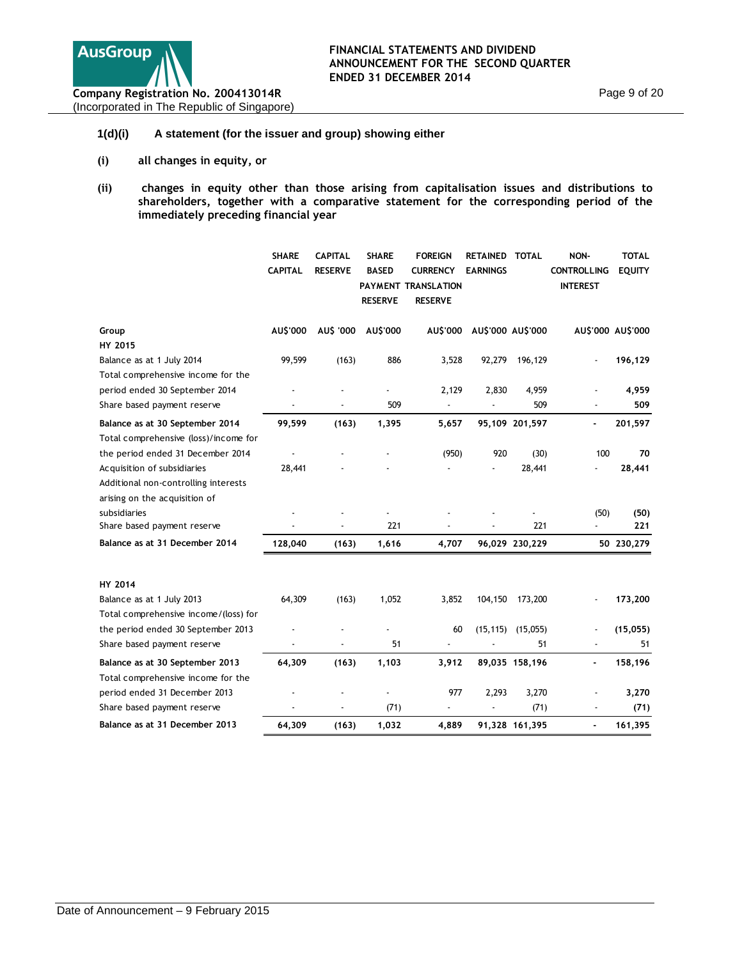

### **1(d)(i) A statement (for the issuer and group) showing either**

- **(i) all changes in equity, or**
- **(ii) changes in equity other than those arising from capitalisation issues and distributions to shareholders, together with a comparative statement for the corresponding period of the immediately preceding financial year**

|                                                                          | <b>SHARE</b><br><b>CAPITAL</b> | <b>CAPITAL</b><br><b>RESERVE</b> | <b>SHARE</b><br><b>BASED</b><br><b>RESERVE</b> | <b>FOREIGN</b><br><b>CURRENCY</b><br>PAYMENT TRANSLATION<br><b>RESERVE</b> | RETAINED TOTAL<br><b>EARNINGS</b> |                | NON-<br><b>CONTROLLING</b><br><b>INTEREST</b> | <b>TOTAL</b><br><b>EQUITY</b> |
|--------------------------------------------------------------------------|--------------------------------|----------------------------------|------------------------------------------------|----------------------------------------------------------------------------|-----------------------------------|----------------|-----------------------------------------------|-------------------------------|
| Group<br>HY 2015                                                         | AU\$'000                       | AU\$ '000                        | AU\$'000                                       | <b>AU\$'000</b>                                                            | AU\$'000 AU\$'000                 |                | AU\$'000 AU\$'000                             |                               |
| Balance as at 1 July 2014<br>Total comprehensive income for the          | 99,599                         | (163)                            | 886                                            | 3,528                                                                      | 92,279                            | 196,129        |                                               | 196,129                       |
| period ended 30 September 2014                                           |                                |                                  |                                                | 2,129                                                                      | 2,830                             | 4,959          |                                               | 4,959                         |
| Share based payment reserve                                              |                                |                                  | 509                                            | $\overline{\phantom{a}}$                                                   |                                   | 509            | Ĭ.                                            | 509                           |
| Balance as at 30 September 2014<br>Total comprehensive (loss)/income for | 99,599                         | (163)                            | 1,395                                          | 5,657                                                                      |                                   | 95,109 201,597 |                                               | 201,597                       |
| the period ended 31 December 2014                                        |                                |                                  |                                                | (950)                                                                      | 920                               | (30)           | 100                                           | 70                            |
| Acquisition of subsidiaries<br>Additional non-controlling interests      | 28,441                         |                                  |                                                |                                                                            |                                   | 28,441         |                                               | 28,441                        |
| arising on the acquisition of                                            |                                |                                  |                                                |                                                                            |                                   |                |                                               |                               |
| subsidiaries<br>Share based payment reserve                              |                                |                                  | 221                                            |                                                                            |                                   | 221            | (50)<br>÷,                                    | (50)<br>221                   |
| Balance as at 31 December 2014                                           | 128,040                        | (163)                            | 1,616                                          | 4,707                                                                      |                                   | 96,029 230,229 |                                               | 50 230,279                    |
| HY 2014                                                                  |                                |                                  |                                                |                                                                            |                                   |                |                                               |                               |
| Balance as at 1 July 2013                                                | 64,309                         | (163)                            | 1,052                                          | 3,852                                                                      | 104,150                           | 173,200        |                                               | 173,200                       |
| Total comprehensive income/(loss) for                                    |                                |                                  |                                                |                                                                            |                                   |                |                                               |                               |
| the period ended 30 September 2013                                       |                                |                                  |                                                | 60                                                                         | (15, 115)                         | (15,055)       |                                               | (15,055)                      |
| Share based payment reserve                                              |                                |                                  | 51                                             |                                                                            |                                   | 51             |                                               | 51                            |
| Balance as at 30 September 2013<br>Total comprehensive income for the    | 64,309                         | (163)                            | 1,103                                          | 3,912                                                                      |                                   | 89,035 158,196 |                                               | 158,196                       |
| period ended 31 December 2013                                            |                                |                                  |                                                | 977                                                                        | 2,293                             | 3,270          |                                               | 3,270                         |
| Share based payment reserve                                              |                                | $\overline{a}$                   | (71)                                           |                                                                            |                                   | (71)           | $\overline{\phantom{a}}$                      | (71)                          |
| Balance as at 31 December 2013                                           | 64,309                         | (163)                            | 1,032                                          | 4,889                                                                      |                                   | 91,328 161,395 | ٠                                             | 161,395                       |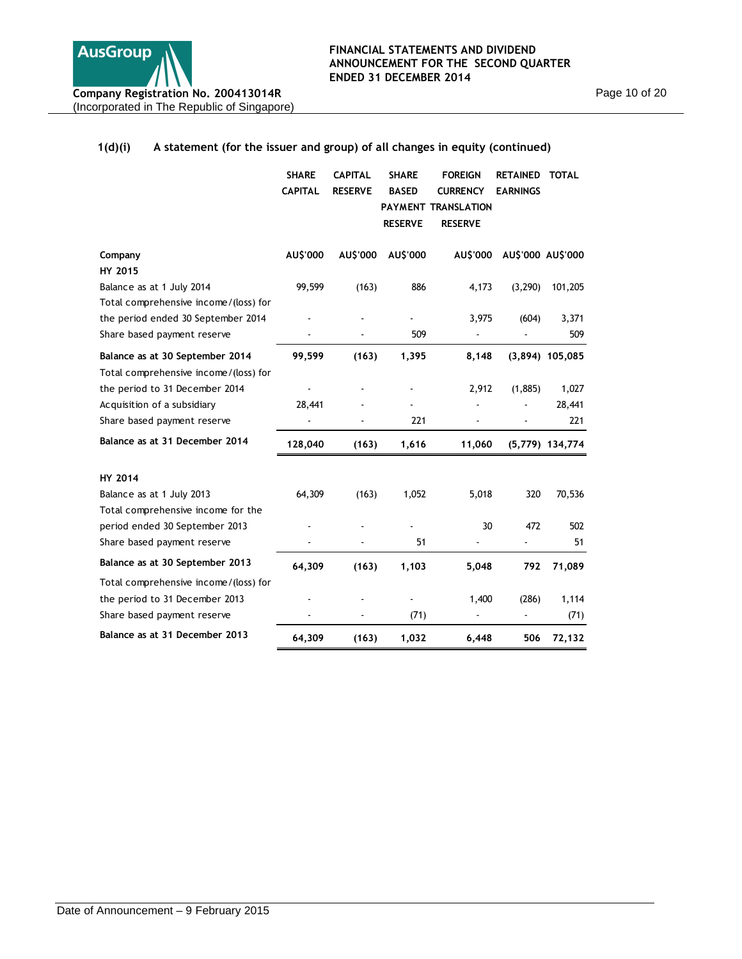

#### **1(d)(i) A statement (for the issuer and group) of all changes in equity (continued) SHARE CAPITAL RESERVE CAPITAL SHARE BASED PAYMENT TRANSLATION RESERVE FOREIGN RETAINED TOTAL CURRENCY EARNINGS RESERVE Company AU\$'000 AU\$'000 AU\$'000 AU\$'000 AU\$'000 AU\$'000 HY 2015**

| <b>HY 2015</b>                        |         |       |       |        |          |                   |
|---------------------------------------|---------|-------|-------|--------|----------|-------------------|
| Balance as at 1 July 2014             | 99,599  | (163) | 886   | 4,173  | (3, 290) | 101,205           |
| Total comprehensive income/(loss) for |         |       |       |        |          |                   |
| the period ended 30 September 2014    |         |       |       | 3,975  | (604)    | 3,371             |
| Share based payment reserve           |         |       | 509   |        |          | 509               |
| Balance as at 30 September 2014       | 99,599  | (163) | 1,395 | 8,148  |          | $(3,894)$ 105,085 |
| Total comprehensive income/(loss) for |         |       |       |        |          |                   |
| the period to 31 December 2014        |         |       |       | 2,912  | (1,885)  | 1,027             |
| Acquisition of a subsidiary           | 28,441  |       |       |        |          | 28,441            |
| Share based payment reserve           |         |       | 221   |        |          | 221               |
| Balance as at 31 December 2014        | 128,040 | (163) | 1,616 | 11,060 |          | $(5,779)$ 134,774 |
| <b>HY 2014</b>                        |         |       |       |        |          |                   |
| Balance as at 1 July 2013             | 64,309  | (163) | 1,052 | 5,018  | 320      | 70,536            |
| Total comprehensive income for the    |         |       |       |        |          |                   |
| period ended 30 September 2013        |         |       |       | 30     | 472      | 502               |
| Share based payment reserve           |         |       | 51    |        |          | 51                |
| Balance as at 30 September 2013       | 64,309  | (163) | 1,103 | 5,048  | 792      | 71,089            |
| Total comprehensive income/(loss) for |         |       |       |        |          |                   |
| the period to 31 December 2013        |         |       |       | 1,400  | (286)    | 1,114             |
| Share based payment reserve           |         |       | (71)  |        |          | (71)              |
| Balance as at 31 December 2013        | 64,309  | (163) | 1,032 | 6,448  | 506      | 72,132            |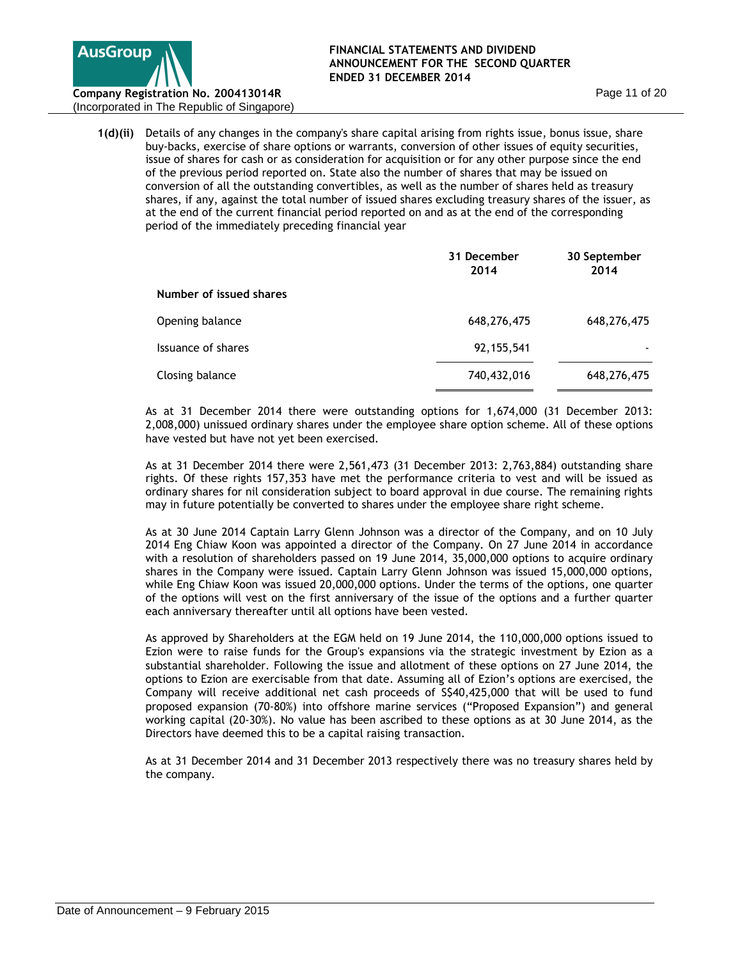

(Incorporated in The Republic of Singapore)

**1(d)(ii)** Details of any changes in the company's share capital arising from rights issue, bonus issue, share buy-backs, exercise of share options or warrants, conversion of other issues of equity securities, issue of shares for cash or as consideration for acquisition or for any other purpose since the end of the previous period reported on. State also the number of shares that may be issued on conversion of all the outstanding convertibles, as well as the number of shares held as treasury shares, if any, against the total number of issued shares excluding treasury shares of the issuer, as at the end of the current financial period reported on and as at the end of the corresponding period of the immediately preceding financial year

|                         | 31 December<br>2014 | 30 September<br>2014 |
|-------------------------|---------------------|----------------------|
| Number of issued shares |                     |                      |
| Opening balance         | 648,276,475         | 648,276,475          |
| Issuance of shares      | 92, 155, 541        |                      |
| Closing balance         | 740,432,016         | 648,276,475          |

As at 31 December 2014 there were outstanding options for 1,674,000 (31 December 2013: 2,008,000) unissued ordinary shares under the employee share option scheme. All of these options have vested but have not yet been exercised.

As at 31 December 2014 there were 2,561,473 (31 December 2013: 2,763,884) outstanding share rights. Of these rights 157,353 have met the performance criteria to vest and will be issued as ordinary shares for nil consideration subject to board approval in due course. The remaining rights may in future potentially be converted to shares under the employee share right scheme.

As at 30 June 2014 Captain Larry Glenn Johnson was a director of the Company, and on 10 July 2014 Eng Chiaw Koon was appointed a director of the Company. On 27 June 2014 in accordance with a resolution of shareholders passed on 19 June 2014, 35,000,000 options to acquire ordinary shares in the Company were issued. Captain Larry Glenn Johnson was issued 15,000,000 options, while Eng Chiaw Koon was issued 20,000,000 options. Under the terms of the options, one quarter of the options will vest on the first anniversary of the issue of the options and a further quarter each anniversary thereafter until all options have been vested.

As approved by Shareholders at the EGM held on 19 June 2014, the 110,000,000 options issued to Ezion were to raise funds for the Group's expansions via the strategic investment by Ezion as a substantial shareholder. Following the issue and allotment of these options on 27 June 2014, the options to Ezion are exercisable from that date. Assuming all of Ezion's options are exercised, the Company will receive additional net cash proceeds of S\$40,425,000 that will be used to fund proposed expansion (70-80%) into offshore marine services ("Proposed Expansion") and general working capital (20-30%). No value has been ascribed to these options as at 30 June 2014, as the Directors have deemed this to be a capital raising transaction.

As at 31 December 2014 and 31 December 2013 respectively there was no treasury shares held by the company.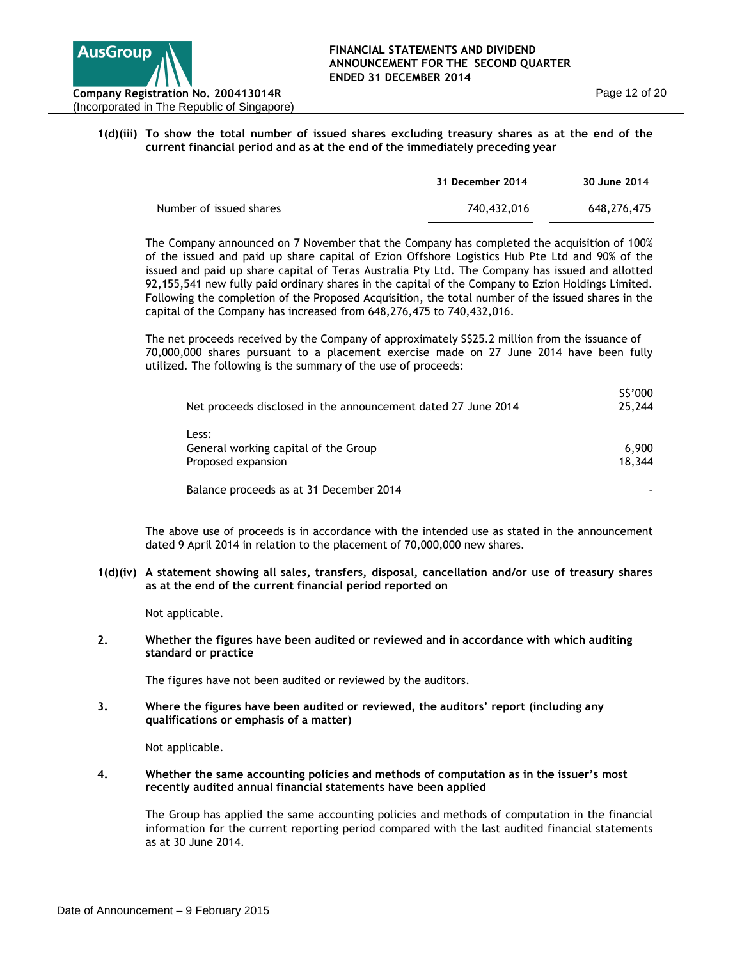

### **1(d)(iii) To show the total number of issued shares excluding treasury shares as at the end of the current financial period and as at the end of the immediately preceding year**

|                         | 31 December 2014 | 30 June 2014 |
|-------------------------|------------------|--------------|
| Number of issued shares | 740,432,016      | 648.276.475  |

The Company announced on 7 November that the Company has completed the acquisition of 100% of the issued and paid up share capital of Ezion Offshore Logistics Hub Pte Ltd and 90% of the issued and paid up share capital of Teras Australia Pty Ltd. The Company has issued and allotted 92,155,541 new fully paid ordinary shares in the capital of the Company to Ezion Holdings Limited. Following the completion of the Proposed Acquisition, the total number of the issued shares in the capital of the Company has increased from 648,276,475 to 740,432,016.

The net proceeds received by the Company of approximately S\$25.2 million from the issuance of 70,000,000 shares pursuant to a placement exercise made on 27 June 2014 have been fully utilized. The following is the summary of the use of proceeds:

| Net proceeds disclosed in the announcement dated 27 June 2014       | S\$'000<br>25,244 |
|---------------------------------------------------------------------|-------------------|
| Less:<br>General working capital of the Group<br>Proposed expansion | 6,900<br>18,344   |
| Balance proceeds as at 31 December 2014                             |                   |

The above use of proceeds is in accordance with the intended use as stated in the announcement dated 9 April 2014 in relation to the placement of 70,000,000 new shares.

**1(d)(iv) A statement showing all sales, transfers, disposal, cancellation and/or use of treasury shares as at the end of the current financial period reported on** 

Not applicable.

**2. Whether the figures have been audited or reviewed and in accordance with which auditing standard or practice**

The figures have not been audited or reviewed by the auditors.

**3. Where the figures have been audited or reviewed, the auditors' report (including any qualifications or emphasis of a matter)**

Not applicable.

**4. Whether the same accounting policies and methods of computation as in the issuer's most recently audited annual financial statements have been applied**

The Group has applied the same accounting policies and methods of computation in the financial information for the current reporting period compared with the last audited financial statements as at 30 June 2014.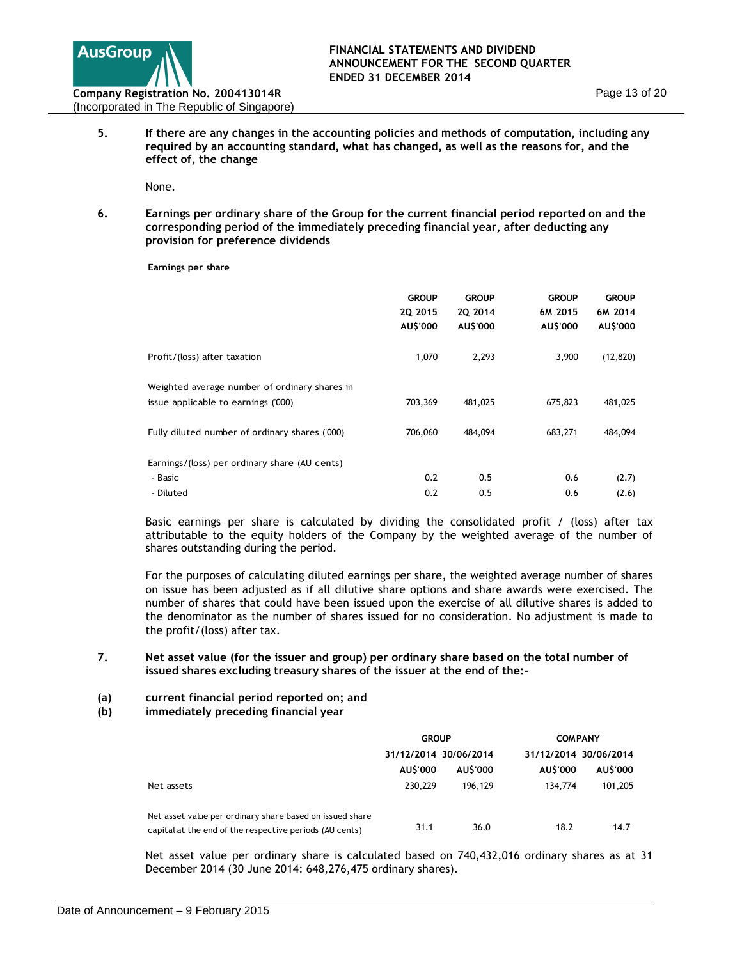

**5. If there are any changes in the accounting policies and methods of computation, including any required by an accounting standard, what has changed, as well as the reasons for, and the effect of, the change**

None.

**6. Earnings per ordinary share of the Group for the current financial period reported on and the corresponding period of the immediately preceding financial year, after deducting any provision for preference dividends**

**Earnings per share**

|                                                                                      | <b>GROUP</b><br>20 2015<br>AU\$'000 | <b>GROUP</b><br>20 2014<br>AU\$'000 | <b>GROUP</b><br>6M 2015<br>AU\$'000 | <b>GROUP</b><br>6M 2014<br>AU\$'000 |
|--------------------------------------------------------------------------------------|-------------------------------------|-------------------------------------|-------------------------------------|-------------------------------------|
| Profit/(loss) after taxation                                                         | 1,070                               | 2,293                               | 3,900                               | (12, 820)                           |
| Weighted average number of ordinary shares in<br>issue applicable to earnings ('000) | 703,369                             | 481,025                             | 675,823                             | 481,025                             |
| Fully diluted number of ordinary shares ('000)                                       | 706.060                             | 484,094                             | 683,271                             | 484,094                             |
| Earnings/(loss) per ordinary share (AU cents)                                        |                                     |                                     |                                     |                                     |
| - Basic                                                                              | 0.2                                 | 0.5                                 | 0.6                                 | (2.7)                               |
| - Diluted                                                                            | 0.2                                 | 0.5                                 | 0.6                                 | (2.6)                               |

Basic earnings per share is calculated by dividing the consolidated profit / (loss) after tax attributable to the equity holders of the Company by the weighted average of the number of shares outstanding during the period.

For the purposes of calculating diluted earnings per share, the weighted average number of shares on issue has been adjusted as if all dilutive share options and share awards were exercised. The number of shares that could have been issued upon the exercise of all dilutive shares is added to the denominator as the number of shares issued for no consideration. No adjustment is made to the profit/(loss) after tax.

### **7. Net asset value (for the issuer and group) per ordinary share based on the total number of issued shares excluding treasury shares of the issuer at the end of the:-**

- **(a) current financial period reported on; and**
- **(b) immediately preceding financial year**

|                                                                                                                     | <b>GROUP</b>          |         |          | <b>COMPANY</b>        |  |
|---------------------------------------------------------------------------------------------------------------------|-----------------------|---------|----------|-----------------------|--|
|                                                                                                                     | 31/12/2014 30/06/2014 |         |          | 31/12/2014 30/06/2014 |  |
|                                                                                                                     | AU\$'000              | AUS'000 | AU\$'000 | AUS'000               |  |
| Net assets                                                                                                          | 230,229               | 196.129 | 134,774  | 101,205               |  |
| Net asset value per ordinary share based on issued share<br>capital at the end of the respective periods (AU cents) | 31.1                  | 36.0    | 18.2     | 14.7                  |  |

Net asset value per ordinary share is calculated based on 740,432,016 ordinary shares as at 31 December 2014 (30 June 2014: 648,276,475 ordinary shares).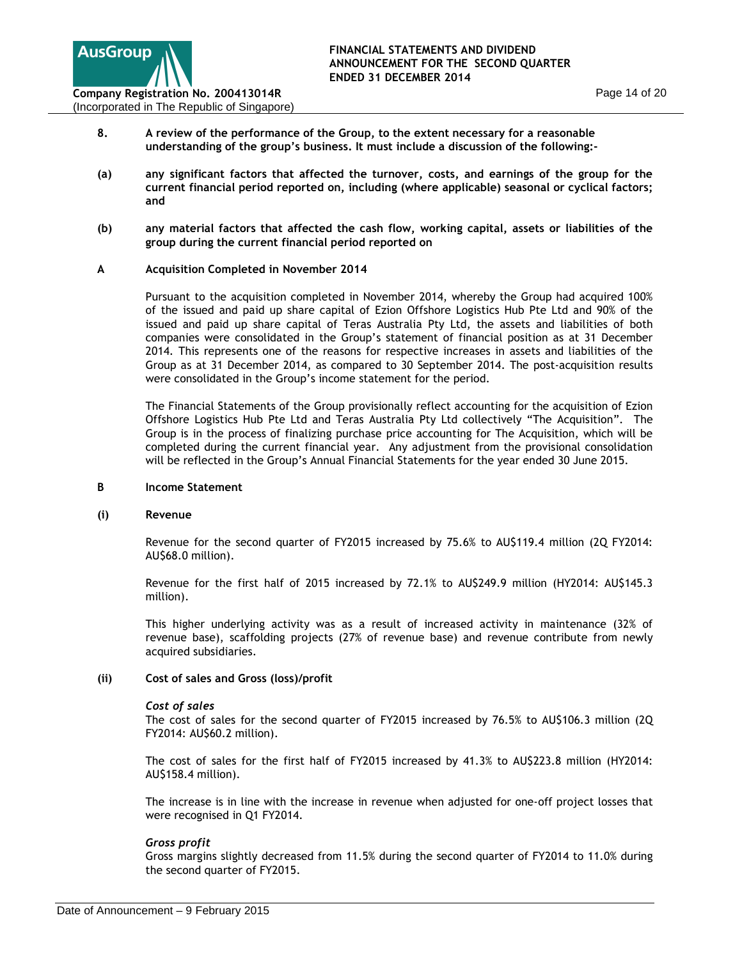

- **8. A review of the performance of the Group, to the extent necessary for a reasonable understanding of the group's business. It must include a discussion of the following:-**
- **(a) any significant factors that affected the turnover, costs, and earnings of the group for the current financial period reported on, including (where applicable) seasonal or cyclical factors; and**
- **(b) any material factors that affected the cash flow, working capital, assets or liabilities of the group during the current financial period reported on**

### **A Acquisition Completed in November 2014**

Pursuant to the acquisition completed in November 2014, whereby the Group had acquired 100% of the issued and paid up share capital of Ezion Offshore Logistics Hub Pte Ltd and 90% of the issued and paid up share capital of Teras Australia Pty Ltd, the assets and liabilities of both companies were consolidated in the Group's statement of financial position as at 31 December 2014. This represents one of the reasons for respective increases in assets and liabilities of the Group as at 31 December 2014, as compared to 30 September 2014. The post-acquisition results were consolidated in the Group's income statement for the period.

The Financial Statements of the Group provisionally reflect accounting for the acquisition of Ezion Offshore Logistics Hub Pte Ltd and Teras Australia Pty Ltd collectively "The Acquisition". The Group is in the process of finalizing purchase price accounting for The Acquisition, which will be completed during the current financial year. Any adjustment from the provisional consolidation will be reflected in the Group's Annual Financial Statements for the year ended 30 June 2015.

#### **B Income Statement**

#### **(i) Revenue**

Revenue for the second quarter of FY2015 increased by 75.6% to AU\$119.4 million (2Q FY2014: AU\$68.0 million).

Revenue for the first half of 2015 increased by 72.1% to AU\$249.9 million (HY2014: AU\$145.3 million).

This higher underlying activity was as a result of increased activity in maintenance (32% of revenue base), scaffolding projects (27% of revenue base) and revenue contribute from newly acquired subsidiaries.

### **(ii) Cost of sales and Gross (loss)/profit**

#### *Cost of sales*

The cost of sales for the second quarter of FY2015 increased by 76.5% to AU\$106.3 million (2Q FY2014: AU\$60.2 million).

The cost of sales for the first half of FY2015 increased by 41.3% to AU\$223.8 million (HY2014: AU\$158.4 million).

The increase is in line with the increase in revenue when adjusted for one-off project losses that were recognised in Q1 FY2014.

#### *Gross profit*

Gross margins slightly decreased from 11.5% during the second quarter of FY2014 to 11.0% during the second quarter of FY2015.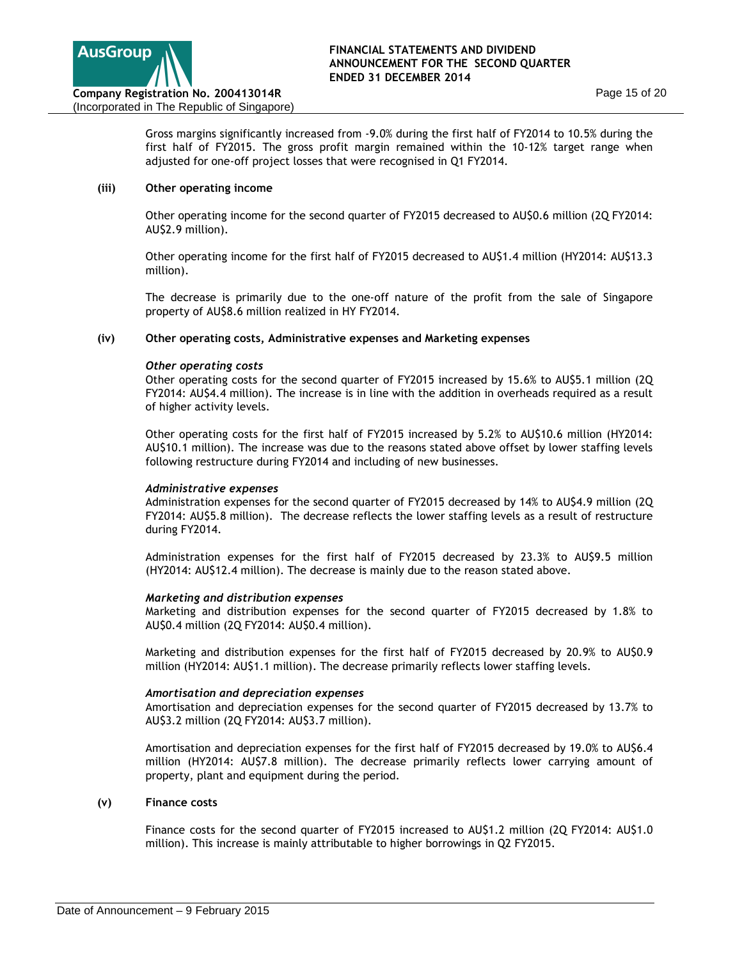

Gross margins significantly increased from -9.0% during the first half of FY2014 to 10.5% during the first half of FY2015. The gross profit margin remained within the 10-12% target range when adjusted for one-off project losses that were recognised in Q1 FY2014.

### **(iii) Other operating income**

Other operating income for the second quarter of FY2015 decreased to AU\$0.6 million (2Q FY2014: AU\$2.9 million).

Other operating income for the first half of FY2015 decreased to AU\$1.4 million (HY2014: AU\$13.3 million).

The decrease is primarily due to the one-off nature of the profit from the sale of Singapore property of AU\$8.6 million realized in HY FY2014.

#### **(iv) Other operating costs, Administrative expenses and Marketing expenses**

### *Other operating costs*

Other operating costs for the second quarter of FY2015 increased by 15.6% to AU\$5.1 million (2Q FY2014: AU\$4.4 million). The increase is in line with the addition in overheads required as a result of higher activity levels.

Other operating costs for the first half of FY2015 increased by 5.2% to AU\$10.6 million (HY2014: AU\$10.1 million). The increase was due to the reasons stated above offset by lower staffing levels following restructure during FY2014 and including of new businesses.

#### *Administrative expenses*

Administration expenses for the second quarter of FY2015 decreased by 14% to AU\$4.9 million (2Q FY2014: AU\$5.8 million). The decrease reflects the lower staffing levels as a result of restructure during FY2014.

Administration expenses for the first half of FY2015 decreased by 23.3% to AU\$9.5 million (HY2014: AU\$12.4 million). The decrease is mainly due to the reason stated above.

### *Marketing and distribution expenses*

Marketing and distribution expenses for the second quarter of FY2015 decreased by 1.8% to AU\$0.4 million (2Q FY2014: AU\$0.4 million).

Marketing and distribution expenses for the first half of FY2015 decreased by 20.9% to AU\$0.9 million (HY2014: AU\$1.1 million). The decrease primarily reflects lower staffing levels.

#### *Amortisation and depreciation expenses*

Amortisation and depreciation expenses for the second quarter of FY2015 decreased by 13.7% to AU\$3.2 million (2Q FY2014: AU\$3.7 million).

Amortisation and depreciation expenses for the first half of FY2015 decreased by 19.0% to AU\$6.4 million (HY2014: AU\$7.8 million). The decrease primarily reflects lower carrying amount of property, plant and equipment during the period.

#### **(v) Finance costs**

Finance costs for the second quarter of FY2015 increased to AU\$1.2 million (2Q FY2014: AU\$1.0 million). This increase is mainly attributable to higher borrowings in Q2 FY2015.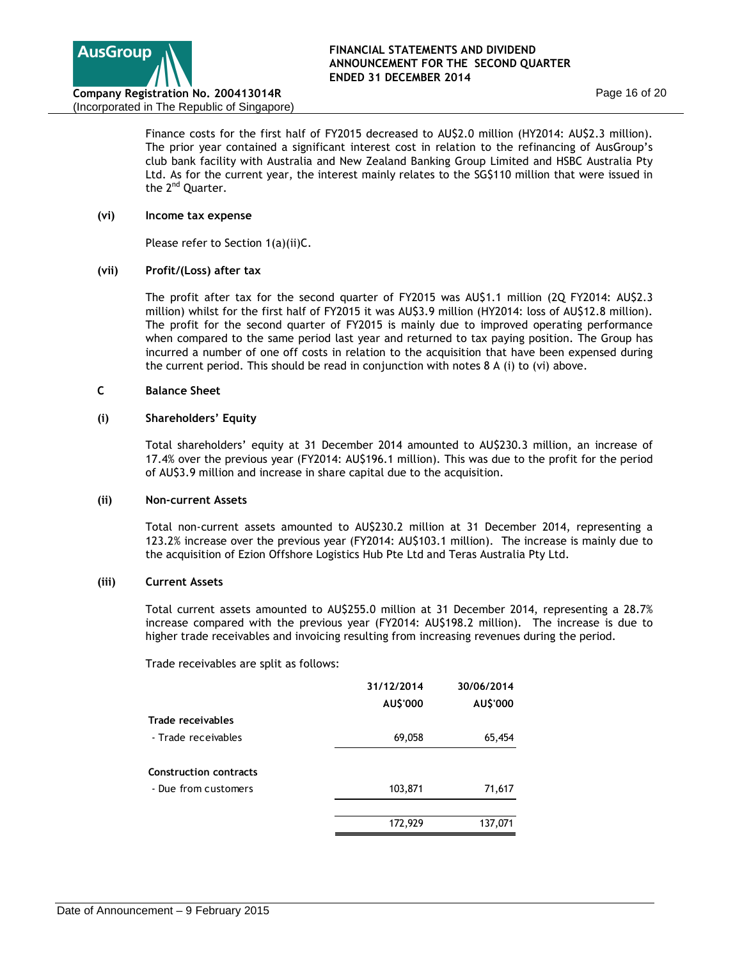

Finance costs for the first half of FY2015 decreased to AU\$2.0 million (HY2014: AU\$2.3 million). The prior year contained a significant interest cost in relation to the refinancing of AusGroup's club bank facility with Australia and New Zealand Banking Group Limited and HSBC Australia Pty Ltd. As for the current year, the interest mainly relates to the SG\$110 million that were issued in the 2<sup>nd</sup> Quarter.

### **(vi) Income tax expense**

Please refer to Section 1(a)(ii)C.

## **(vii) Profit/(Loss) after tax**

The profit after tax for the second quarter of FY2015 was AU\$1.1 million (2Q FY2014: AU\$2.3 million) whilst for the first half of FY2015 it was AU\$3.9 million (HY2014: loss of AU\$12.8 million). The profit for the second quarter of FY2015 is mainly due to improved operating performance when compared to the same period last year and returned to tax paying position. The Group has incurred a number of one off costs in relation to the acquisition that have been expensed during the current period. This should be read in conjunction with notes 8 A (i) to (vi) above.

### **C Balance Sheet**

### **(i) Shareholders' Equity**

Total shareholders' equity at 31 December 2014 amounted to AU\$230.3 million, an increase of 17.4% over the previous year (FY2014: AU\$196.1 million). This was due to the profit for the period of AU\$3.9 million and increase in share capital due to the acquisition.

### **(ii) Non-current Assets**

Total non-current assets amounted to AU\$230.2 million at 31 December 2014, representing a 123.2% increase over the previous year (FY2014: AU\$103.1 million). The increase is mainly due to the acquisition of Ezion Offshore Logistics Hub Pte Ltd and Teras Australia Pty Ltd.

## **(iii) Current Assets**

Total current assets amounted to AU\$255.0 million at 31 December 2014, representing a 28.7% increase compared with the previous year (FY2014: AU\$198.2 million). The increase is due to higher trade receivables and invoicing resulting from increasing revenues during the period.

Trade receivables are split as follows:

|                               | 31/12/2014 | 30/06/2014 |
|-------------------------------|------------|------------|
|                               | AU\$'000   | AU\$'000   |
| Trade receivables             |            |            |
| - Trade receivables           | 69,058     | 65,454     |
| <b>Construction contracts</b> |            |            |
| - Due from customers          | 103,871    | 71,617     |
|                               |            |            |
|                               | 172,929    | 137,071    |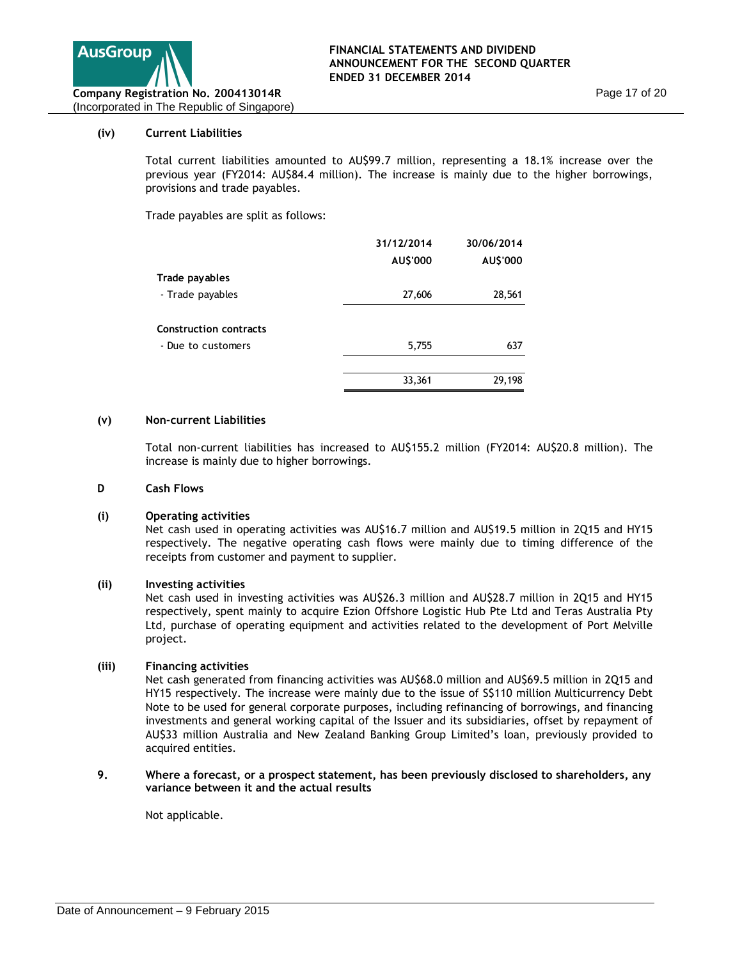

### **(iv) Current Liabilities**

Total current liabilities amounted to AU\$99.7 million, representing a 18.1% increase over the previous year (FY2014: AU\$84.4 million). The increase is mainly due to the higher borrowings, provisions and trade payables.

Trade payables are split as follows:

|                               | 31/12/2014 | 30/06/2014 |
|-------------------------------|------------|------------|
|                               | AU\$'000   | AU\$'000   |
| Trade payables                |            |            |
| - Trade payables              | 27,606     | 28,561     |
|                               |            |            |
| <b>Construction contracts</b> |            |            |
| - Due to customers            | 5,755      | 637        |
|                               |            |            |
|                               | 33,361     | 29,198     |

#### **(v) Non-current Liabilities**

Total non-current liabilities has increased to AU\$155.2 million (FY2014: AU\$20.8 million). The increase is mainly due to higher borrowings.

#### **D Cash Flows**

#### **(i) Operating activities**

Net cash used in operating activities was AU\$16.7 million and AU\$19.5 million in 2Q15 and HY15 respectively. The negative operating cash flows were mainly due to timing difference of the receipts from customer and payment to supplier.

#### **(ii) Investing activities**

Net cash used in investing activities was AU\$26.3 million and AU\$28.7 million in 2Q15 and HY15 respectively, spent mainly to acquire Ezion Offshore Logistic Hub Pte Ltd and Teras Australia Pty Ltd, purchase of operating equipment and activities related to the development of Port Melville project.

## **(iii) Financing activities**

Net cash generated from financing activities was AU\$68.0 million and AU\$69.5 million in 2Q15 and HY15 respectively. The increase were mainly due to the issue of S\$110 million Multicurrency Debt Note to be used for general corporate purposes, including refinancing of borrowings, and financing investments and general working capital of the Issuer and its subsidiaries, offset by repayment of AU\$33 million Australia and New Zealand Banking Group Limited's loan, previously provided to acquired entities.

#### **9. Where a forecast, or a prospect statement, has been previously disclosed to shareholders, any variance between it and the actual results**

Not applicable.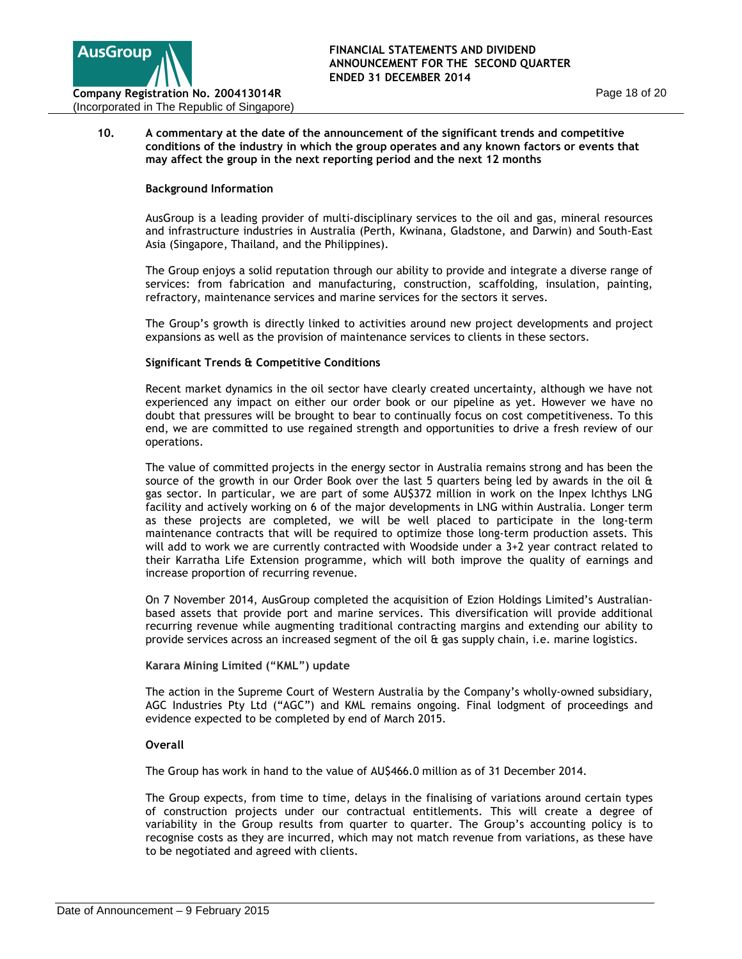

### **10. A commentary at the date of the announcement of the significant trends and competitive conditions of the industry in which the group operates and any known factors or events that may affect the group in the next reporting period and the next 12 months**

### **Background Information**

AusGroup is a leading provider of multi-disciplinary services to the oil and gas, mineral resources and infrastructure industries in Australia (Perth, Kwinana, Gladstone, and Darwin) and South-East Asia (Singapore, Thailand, and the Philippines).

The Group enjoys a solid reputation through our ability to provide and integrate a diverse range of services: from fabrication and manufacturing, construction, scaffolding, insulation, painting, refractory, maintenance services and marine services for the sectors it serves.

The Group's growth is directly linked to activities around new project developments and project expansions as well as the provision of maintenance services to clients in these sectors.

### **Significant Trends & Competitive Conditions**

Recent market dynamics in the oil sector have clearly created uncertainty, although we have not experienced any impact on either our order book or our pipeline as yet. However we have no doubt that pressures will be brought to bear to continually focus on cost competitiveness. To this end, we are committed to use regained strength and opportunities to drive a fresh review of our operations.

The value of committed projects in the energy sector in Australia remains strong and has been the source of the growth in our Order Book over the last 5 quarters being led by awards in the oil  $\theta$ gas sector. In particular, we are part of some AU\$372 million in work on the Inpex Ichthys LNG facility and actively working on 6 of the major developments in LNG within Australia. Longer term as these projects are completed, we will be well placed to participate in the long-term maintenance contracts that will be required to optimize those long-term production assets. This will add to work we are currently contracted with Woodside under a 3+2 year contract related to their Karratha Life Extension programme, which will both improve the quality of earnings and increase proportion of recurring revenue.

On 7 November 2014, AusGroup completed the acquisition of Ezion Holdings Limited's Australianbased assets that provide port and marine services. This diversification will provide additional recurring revenue while augmenting traditional contracting margins and extending our ability to provide services across an increased segment of the oil & gas supply chain, i.e. marine logistics.

#### **Karara Mining Limited ("KML") update**

The action in the Supreme Court of Western Australia by the Company's wholly-owned subsidiary, AGC Industries Pty Ltd ("AGC") and KML remains ongoing. Final lodgment of proceedings and evidence expected to be completed by end of March 2015.

#### **Overall**

The Group has work in hand to the value of AU\$466.0 million as of 31 December 2014.

The Group expects, from time to time, delays in the finalising of variations around certain types of construction projects under our contractual entitlements. This will create a degree of variability in the Group results from quarter to quarter. The Group's accounting policy is to recognise costs as they are incurred, which may not match revenue from variations, as these have to be negotiated and agreed with clients.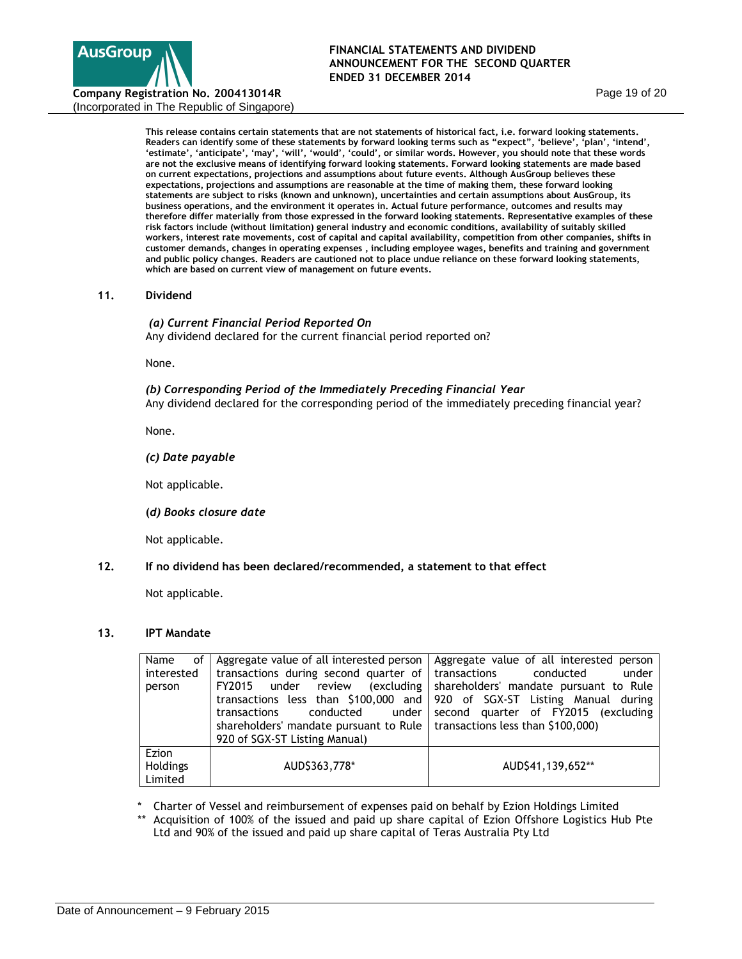

**This release contains certain statements that are not statements of historical fact, i.e. forward looking statements. Readers can identify some of these statements by forward looking terms such as "expect", 'believe', 'plan', 'intend',**  'estimate', 'anticipate', 'may', 'will', 'would', 'could', or similar words. However, you should note that these words **are not the exclusive means of identifying forward looking statements. Forward looking statements are made based on current expectations, projections and assumptions about future events. Although AusGroup believes these expectations, projections and assumptions are reasonable at the time of making them, these forward looking statements are subject to risks (known and unknown), uncertainties and certain assumptions about AusGroup, its business operations, and the environment it operates in. Actual future performance, outcomes and results may therefore differ materially from those expressed in the forward looking statements. Representative examples of these risk factors include (without limitation) general industry and economic conditions, availability of suitably skilled workers, interest rate movements, cost of capital and capital availability, competition from other companies, shifts in customer demands, changes in operating expenses , including employee wages, benefits and training and government and public policy changes. Readers are cautioned not to place undue reliance on these forward looking statements, which are based on current view of management on future events.** 

#### **11. Dividend**

*(a) Current Financial Period Reported On* Any dividend declared for the current financial period reported on?

None.

#### *(b) Corresponding Period of the Immediately Preceding Financial Year*

Any dividend declared for the corresponding period of the immediately preceding financial year?

None.

*(c) Date payable* 

Not applicable.

 **(***d) Books closure date*

Not applicable.

## **12. If no dividend has been declared/recommended, a statement to that effect**

Not applicable.

#### **13. IPT Mandate**

| of<br>Name<br>interested<br>person | Aggregate value of all interested person<br>transactions during second quarter of transactions<br>conducted<br>under l<br>transactions<br>shareholders' mandate pursuant to Rule $\vert$ transactions less than \$100,000)<br>920 of SGX-ST Listing Manual) | Aggregate value of all interested person<br>conducted<br>under<br>FY2015 under review (excluding shareholders' mandate pursuant to Rule<br>transactions less than \$100,000 and 920 of SGX-ST Listing Manual during<br>second quarter of FY2015 (excluding |
|------------------------------------|-------------------------------------------------------------------------------------------------------------------------------------------------------------------------------------------------------------------------------------------------------------|------------------------------------------------------------------------------------------------------------------------------------------------------------------------------------------------------------------------------------------------------------|
| Ezion<br>Holdings<br>Limited       | AUD\$363,778*                                                                                                                                                                                                                                               | AUD\$41,139,652**                                                                                                                                                                                                                                          |

- \* Charter of Vessel and reimbursement of expenses paid on behalf by Ezion Holdings Limited
- Acquisition of 100% of the issued and paid up share capital of Ezion Offshore Logistics Hub Pte Ltd and 90% of the issued and paid up share capital of Teras Australia Pty Ltd